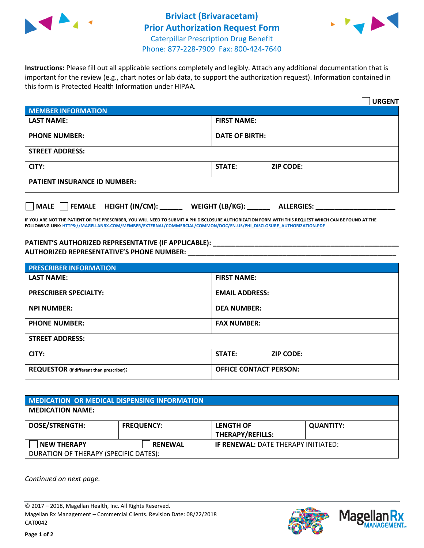



**Instructions:** Please fill out all applicable sections completely and legibly. Attach any additional documentation that is important for the review (e.g., chart notes or lab data, to support the authorization request). Information contained in this form is Protected Health Information under HIPAA.

|                                           | <b>URGENT</b>                          |  |  |  |
|-------------------------------------------|----------------------------------------|--|--|--|
| <b>MEMBER INFORMATION</b>                 |                                        |  |  |  |
| <b>LAST NAME:</b>                         | <b>FIRST NAME:</b>                     |  |  |  |
| <b>PHONE NUMBER:</b>                      | <b>DATE OF BIRTH:</b>                  |  |  |  |
| <b>STREET ADDRESS:</b>                    |                                        |  |  |  |
| CITY:                                     | <b>ZIP CODE:</b><br>STATE:             |  |  |  |
| <b>PATIENT INSURANCE ID NUMBER:</b>       |                                        |  |  |  |
| $\Box$ MALE $\Box$ FEMALE HEIGHT (IN/CM): | WEIGHT (LB/KG): _<br><b>ALLERGIES:</b> |  |  |  |

**IF YOU ARE NOT THE PATIENT OR THE PRESCRIBER, YOU WILL NEED TO SUBMIT A PHI DISCLOSURE AUTHORIZATION FORM WITH THIS REQUEST WHICH CAN BE FOUND AT THE FOLLOWING LINK[: HTTPS://MAGELLANRX.COM/MEMBER/EXTERNAL/COMMERCIAL/COMMON/DOC/EN-US/PHI\\_DISCLOSURE\\_AUTHORIZATION.PDF](https://magellanrx.com/member/external/commercial/common/doc/en-us/PHI_Disclosure_Authorization.pdf)**

**PATIENT'S AUTHORIZED REPRESENTATIVE (IF APPLICABLE): \_\_\_\_\_\_\_\_\_\_\_\_\_\_\_\_\_\_\_\_\_\_\_\_\_\_\_\_\_\_\_\_\_\_\_\_\_\_\_\_\_\_\_\_\_\_\_\_\_ AUTHORIZED REPRESENTATIVE'S PHONE NUMBER:** \_\_\_\_\_\_\_\_\_\_\_\_\_\_\_\_\_\_\_\_\_\_\_\_\_\_\_\_\_\_\_\_\_\_\_\_\_\_\_\_\_\_\_\_\_\_\_\_\_\_\_\_\_\_\_

| <b>PRESCRIBER INFORMATION</b>             |                               |  |  |  |
|-------------------------------------------|-------------------------------|--|--|--|
| <b>LAST NAME:</b>                         | <b>FIRST NAME:</b>            |  |  |  |
| <b>PRESCRIBER SPECIALTY:</b>              | <b>EMAIL ADDRESS:</b>         |  |  |  |
| <b>NPI NUMBER:</b>                        | <b>DEA NUMBER:</b>            |  |  |  |
| <b>PHONE NUMBER:</b>                      | <b>FAX NUMBER:</b>            |  |  |  |
| <b>STREET ADDRESS:</b>                    |                               |  |  |  |
| CITY:                                     | STATE:<br><b>ZIP CODE:</b>    |  |  |  |
| REQUESTOR (if different than prescriber): | <b>OFFICE CONTACT PERSON:</b> |  |  |  |

| <b>MEDICATION OR MEDICAL DISPENSING INFORMATION</b> |                   |                                            |                  |  |
|-----------------------------------------------------|-------------------|--------------------------------------------|------------------|--|
| <b>MEDICATION NAME:</b>                             |                   |                                            |                  |  |
| <b>DOSE/STRENGTH:</b>                               | <b>FREQUENCY:</b> | <b>LENGTH OF</b>                           | <b>QUANTITY:</b> |  |
|                                                     |                   | <b>THERAPY/REFILLS:</b>                    |                  |  |
| <b>NEW THERAPY</b>                                  | <b>RENEWAL</b>    | <b>IF RENEWAL: DATE THERAPY INITIATED:</b> |                  |  |
| DURATION OF THERAPY (SPECIFIC DATES):               |                   |                                            |                  |  |

*Continued on next page.*

© 2017 – 2018, Magellan Health, Inc. All Rights Reserved. Magellan Rx Management – Commercial Clients. Revision Date: 08/22/2018 CAT0042